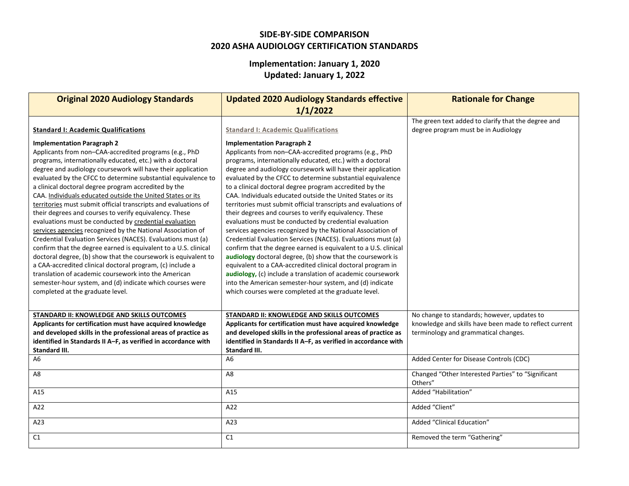## **SIDE-BY-SIDE COMPARISON 2020 ASHA AUDIOLOGY CERTIFICATION STANDARDS**

## **Implementation: January 1, 2020**

**Updated: January 1, 2022**

| <b>Original 2020 Audiology Standards</b>                                                                                                                                                                                                                                                                                                                                                                                                                                                                                                                                                                                                                                                                                                                                                                                                                                                                                                                                                                                                                                                        | <b>Updated 2020 Audiology Standards effective</b><br>1/1/2022                                                                                                                                                                                                                                                                                                                                                                                                                                                                                                                                                                                                                                                                                                                                                                                                                                                                                                                                                                                                                                                          | <b>Rationale for Change</b>                                                                                                                   |
|-------------------------------------------------------------------------------------------------------------------------------------------------------------------------------------------------------------------------------------------------------------------------------------------------------------------------------------------------------------------------------------------------------------------------------------------------------------------------------------------------------------------------------------------------------------------------------------------------------------------------------------------------------------------------------------------------------------------------------------------------------------------------------------------------------------------------------------------------------------------------------------------------------------------------------------------------------------------------------------------------------------------------------------------------------------------------------------------------|------------------------------------------------------------------------------------------------------------------------------------------------------------------------------------------------------------------------------------------------------------------------------------------------------------------------------------------------------------------------------------------------------------------------------------------------------------------------------------------------------------------------------------------------------------------------------------------------------------------------------------------------------------------------------------------------------------------------------------------------------------------------------------------------------------------------------------------------------------------------------------------------------------------------------------------------------------------------------------------------------------------------------------------------------------------------------------------------------------------------|-----------------------------------------------------------------------------------------------------------------------------------------------|
| <b>Standard I: Academic Qualifications</b>                                                                                                                                                                                                                                                                                                                                                                                                                                                                                                                                                                                                                                                                                                                                                                                                                                                                                                                                                                                                                                                      | <b>Standard I: Academic Qualifications</b>                                                                                                                                                                                                                                                                                                                                                                                                                                                                                                                                                                                                                                                                                                                                                                                                                                                                                                                                                                                                                                                                             | The green text added to clarify that the degree and<br>degree program must be in Audiology                                                    |
| <b>Implementation Paragraph 2</b><br>Applicants from non-CAA-accredited programs (e.g., PhD<br>programs, internationally educated, etc.) with a doctoral<br>degree and audiology coursework will have their application<br>evaluated by the CFCC to determine substantial equivalence to<br>a clinical doctoral degree program accredited by the<br>CAA. Individuals educated outside the United States or its<br>territories must submit official transcripts and evaluations of<br>their degrees and courses to verify equivalency. These<br>evaluations must be conducted by credential evaluation<br>services agencies recognized by the National Association of<br>Credential Evaluation Services (NACES). Evaluations must (a)<br>confirm that the degree earned is equivalent to a U.S. clinical<br>doctoral degree, (b) show that the coursework is equivalent to<br>a CAA-accredited clinical doctoral program, (c) include a<br>translation of academic coursework into the American<br>semester-hour system, and (d) indicate which courses were<br>completed at the graduate level. | <b>Implementation Paragraph 2</b><br>Applicants from non-CAA-accredited programs (e.g., PhD<br>programs, internationally educated, etc.) with a doctoral<br>degree and audiology coursework will have their application<br>evaluated by the CFCC to determine substantial equivalence<br>to a clinical doctoral degree program accredited by the<br>CAA. Individuals educated outside the United States or its<br>territories must submit official transcripts and evaluations of<br>their degrees and courses to verify equivalency. These<br>evaluations must be conducted by credential evaluation<br>services agencies recognized by the National Association of<br>Credential Evaluation Services (NACES). Evaluations must (a)<br>confirm that the degree earned is equivalent to a U.S. clinical<br>audiology doctoral degree, (b) show that the coursework is<br>equivalent to a CAA-accredited clinical doctoral program in<br>audiology, (c) include a translation of academic coursework<br>into the American semester-hour system, and (d) indicate<br>which courses were completed at the graduate level. |                                                                                                                                               |
| STANDARD II: KNOWLEDGE AND SKILLS OUTCOMES<br>Applicants for certification must have acquired knowledge<br>and developed skills in the professional areas of practice as<br>identified in Standards II A-F, as verified in accordance with<br>Standard III.                                                                                                                                                                                                                                                                                                                                                                                                                                                                                                                                                                                                                                                                                                                                                                                                                                     | STANDARD II: KNOWLEDGE AND SKILLS OUTCOMES<br>Applicants for certification must have acquired knowledge<br>and developed skills in the professional areas of practice as<br>identified in Standards II A-F, as verified in accordance with<br><b>Standard III.</b>                                                                                                                                                                                                                                                                                                                                                                                                                                                                                                                                                                                                                                                                                                                                                                                                                                                     | No change to standards; however, updates to<br>knowledge and skills have been made to reflect current<br>terminology and grammatical changes. |
| A <sub>6</sub>                                                                                                                                                                                                                                                                                                                                                                                                                                                                                                                                                                                                                                                                                                                                                                                                                                                                                                                                                                                                                                                                                  | A6                                                                                                                                                                                                                                                                                                                                                                                                                                                                                                                                                                                                                                                                                                                                                                                                                                                                                                                                                                                                                                                                                                                     | Added Center for Disease Controls (CDC)                                                                                                       |
| A8                                                                                                                                                                                                                                                                                                                                                                                                                                                                                                                                                                                                                                                                                                                                                                                                                                                                                                                                                                                                                                                                                              | A <sub>8</sub>                                                                                                                                                                                                                                                                                                                                                                                                                                                                                                                                                                                                                                                                                                                                                                                                                                                                                                                                                                                                                                                                                                         | Changed "Other Interested Parties" to "Significant<br>Others"                                                                                 |
| A15                                                                                                                                                                                                                                                                                                                                                                                                                                                                                                                                                                                                                                                                                                                                                                                                                                                                                                                                                                                                                                                                                             | A15                                                                                                                                                                                                                                                                                                                                                                                                                                                                                                                                                                                                                                                                                                                                                                                                                                                                                                                                                                                                                                                                                                                    | Added "Habilitation"                                                                                                                          |
| A22                                                                                                                                                                                                                                                                                                                                                                                                                                                                                                                                                                                                                                                                                                                                                                                                                                                                                                                                                                                                                                                                                             | A22                                                                                                                                                                                                                                                                                                                                                                                                                                                                                                                                                                                                                                                                                                                                                                                                                                                                                                                                                                                                                                                                                                                    | Added "Client"                                                                                                                                |
| A23                                                                                                                                                                                                                                                                                                                                                                                                                                                                                                                                                                                                                                                                                                                                                                                                                                                                                                                                                                                                                                                                                             | A23                                                                                                                                                                                                                                                                                                                                                                                                                                                                                                                                                                                                                                                                                                                                                                                                                                                                                                                                                                                                                                                                                                                    | Added "Clinical Education"                                                                                                                    |
| C1                                                                                                                                                                                                                                                                                                                                                                                                                                                                                                                                                                                                                                                                                                                                                                                                                                                                                                                                                                                                                                                                                              | C1                                                                                                                                                                                                                                                                                                                                                                                                                                                                                                                                                                                                                                                                                                                                                                                                                                                                                                                                                                                                                                                                                                                     | Removed the term "Gathering"                                                                                                                  |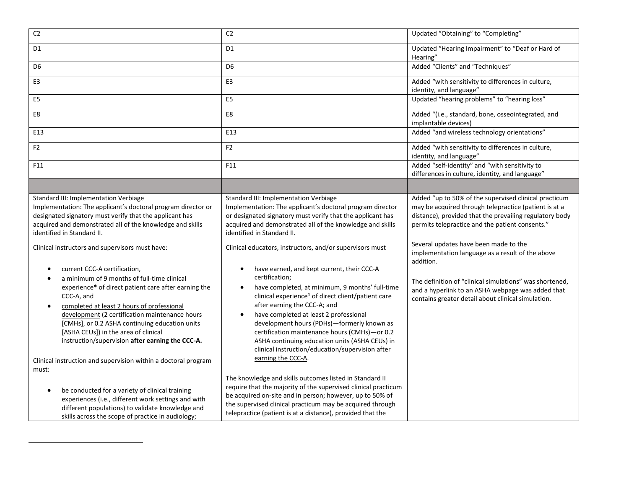| C <sub>2</sub>                                                                                                                                                                                                                                                                                                                                                                                                                                                                                                                                                                                                                                                                                                                                                                                                             | C <sub>2</sub>                                                                                                                                                                                                                                                                                                                                                                                                                                                                                                                                                                                                                                                                                                                                                                                                                                           | Updated "Obtaining" to "Completing"                                                                                                                                                                                                                                                                                                                                                                                                                                                                          |
|----------------------------------------------------------------------------------------------------------------------------------------------------------------------------------------------------------------------------------------------------------------------------------------------------------------------------------------------------------------------------------------------------------------------------------------------------------------------------------------------------------------------------------------------------------------------------------------------------------------------------------------------------------------------------------------------------------------------------------------------------------------------------------------------------------------------------|----------------------------------------------------------------------------------------------------------------------------------------------------------------------------------------------------------------------------------------------------------------------------------------------------------------------------------------------------------------------------------------------------------------------------------------------------------------------------------------------------------------------------------------------------------------------------------------------------------------------------------------------------------------------------------------------------------------------------------------------------------------------------------------------------------------------------------------------------------|--------------------------------------------------------------------------------------------------------------------------------------------------------------------------------------------------------------------------------------------------------------------------------------------------------------------------------------------------------------------------------------------------------------------------------------------------------------------------------------------------------------|
| D <sub>1</sub>                                                                                                                                                                                                                                                                                                                                                                                                                                                                                                                                                                                                                                                                                                                                                                                                             | D <sub>1</sub>                                                                                                                                                                                                                                                                                                                                                                                                                                                                                                                                                                                                                                                                                                                                                                                                                                           | Updated "Hearing Impairment" to "Deaf or Hard of<br>Hearing"                                                                                                                                                                                                                                                                                                                                                                                                                                                 |
| D <sub>6</sub>                                                                                                                                                                                                                                                                                                                                                                                                                                                                                                                                                                                                                                                                                                                                                                                                             | D <sub>6</sub>                                                                                                                                                                                                                                                                                                                                                                                                                                                                                                                                                                                                                                                                                                                                                                                                                                           | Added "Clients" and "Techniques"                                                                                                                                                                                                                                                                                                                                                                                                                                                                             |
| E3                                                                                                                                                                                                                                                                                                                                                                                                                                                                                                                                                                                                                                                                                                                                                                                                                         | E <sub>3</sub>                                                                                                                                                                                                                                                                                                                                                                                                                                                                                                                                                                                                                                                                                                                                                                                                                                           | Added "with sensitivity to differences in culture,<br>identity, and language"                                                                                                                                                                                                                                                                                                                                                                                                                                |
| E <sub>5</sub>                                                                                                                                                                                                                                                                                                                                                                                                                                                                                                                                                                                                                                                                                                                                                                                                             | E5                                                                                                                                                                                                                                                                                                                                                                                                                                                                                                                                                                                                                                                                                                                                                                                                                                                       | Updated "hearing problems" to "hearing loss"                                                                                                                                                                                                                                                                                                                                                                                                                                                                 |
| E8                                                                                                                                                                                                                                                                                                                                                                                                                                                                                                                                                                                                                                                                                                                                                                                                                         | E8                                                                                                                                                                                                                                                                                                                                                                                                                                                                                                                                                                                                                                                                                                                                                                                                                                                       | Added "(i.e., standard, bone, osseointegrated, and<br>implantable devices)                                                                                                                                                                                                                                                                                                                                                                                                                                   |
| E13                                                                                                                                                                                                                                                                                                                                                                                                                                                                                                                                                                                                                                                                                                                                                                                                                        | E13                                                                                                                                                                                                                                                                                                                                                                                                                                                                                                                                                                                                                                                                                                                                                                                                                                                      | Added "and wireless technology orientations"                                                                                                                                                                                                                                                                                                                                                                                                                                                                 |
| F <sub>2</sub>                                                                                                                                                                                                                                                                                                                                                                                                                                                                                                                                                                                                                                                                                                                                                                                                             | F <sub>2</sub>                                                                                                                                                                                                                                                                                                                                                                                                                                                                                                                                                                                                                                                                                                                                                                                                                                           | Added "with sensitivity to differences in culture,<br>identity, and language"                                                                                                                                                                                                                                                                                                                                                                                                                                |
| F11                                                                                                                                                                                                                                                                                                                                                                                                                                                                                                                                                                                                                                                                                                                                                                                                                        | F11                                                                                                                                                                                                                                                                                                                                                                                                                                                                                                                                                                                                                                                                                                                                                                                                                                                      | Added "self-identity" and "with sensitivity to<br>differences in culture, identity, and language"                                                                                                                                                                                                                                                                                                                                                                                                            |
|                                                                                                                                                                                                                                                                                                                                                                                                                                                                                                                                                                                                                                                                                                                                                                                                                            |                                                                                                                                                                                                                                                                                                                                                                                                                                                                                                                                                                                                                                                                                                                                                                                                                                                          |                                                                                                                                                                                                                                                                                                                                                                                                                                                                                                              |
| Standard III: Implementation Verbiage<br>Implementation: The applicant's doctoral program director or<br>designated signatory must verify that the applicant has<br>acquired and demonstrated all of the knowledge and skills<br>identified in Standard II.<br>Clinical instructors and supervisors must have:<br>current CCC-A certification,<br>$\bullet$<br>a minimum of 9 months of full-time clinical<br>$\bullet$<br>experience* of direct patient care after earning the<br>CCC-A, and<br>completed at least 2 hours of professional<br>$\bullet$<br>development (2 certification maintenance hours<br>[CMHs], or 0.2 ASHA continuing education units<br>[ASHA CEUs]) in the area of clinical<br>instruction/supervision after earning the CCC-A.<br>Clinical instruction and supervision within a doctoral program | Standard III: Implementation Verbiage<br>Implementation: The applicant's doctoral program director<br>or designated signatory must verify that the applicant has<br>acquired and demonstrated all of the knowledge and skills<br>identified in Standard II.<br>Clinical educators, instructors, and/or supervisors must<br>have earned, and kept current, their CCC-A<br>$\bullet$<br>certification;<br>have completed, at minimum, 9 months' full-time<br>$\bullet$<br>clinical experience <sup>1</sup> of direct client/patient care<br>after earning the CCC-A; and<br>have completed at least 2 professional<br>$\bullet$<br>development hours (PDHs)-formerly known as<br>certification maintenance hours (CMHs)-or 0.2<br>ASHA continuing education units (ASHA CEUs) in<br>clinical instruction/education/supervision after<br>earning the CCC-A. | Added "up to 50% of the supervised clinical practicum<br>may be acquired through telepractice (patient is at a<br>distance), provided that the prevailing regulatory body<br>permits telepractice and the patient consents."<br>Several updates have been made to the<br>implementation language as a result of the above<br>addition.<br>The definition of "clinical simulations" was shortened,<br>and a hyperlink to an ASHA webpage was added that<br>contains greater detail about clinical simulation. |
| must:<br>be conducted for a variety of clinical training<br>$\bullet$<br>experiences (i.e., different work settings and with<br>different populations) to validate knowledge and<br>skills across the scope of practice in audiology;                                                                                                                                                                                                                                                                                                                                                                                                                                                                                                                                                                                      | The knowledge and skills outcomes listed in Standard II<br>require that the majority of the supervised clinical practicum<br>be acquired on-site and in person; however, up to 50% of<br>the supervised clinical practicum may be acquired through<br>telepractice (patient is at a distance), provided that the                                                                                                                                                                                                                                                                                                                                                                                                                                                                                                                                         |                                                                                                                                                                                                                                                                                                                                                                                                                                                                                                              |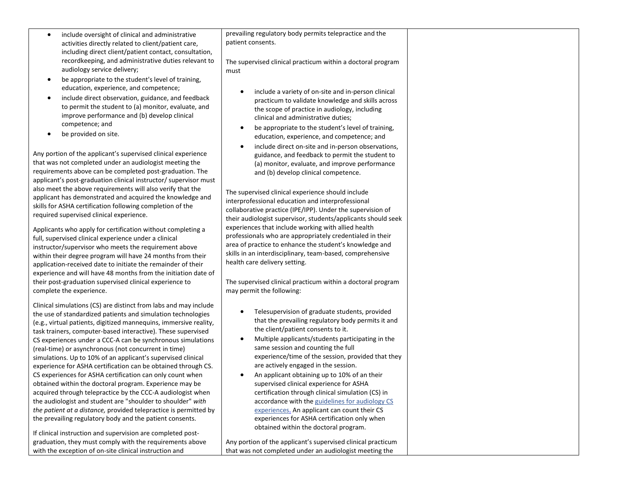- include oversight of clinical and administrative activities directly related to client/patient care, including direct client/patient contact, consultation, recordkeeping, and administrative duties relevant to audiology service delivery;
- be appropriate to the student's level of training, education, experience, and competence;
- include direct observation, guidance, and feedback to permit the student to (a) monitor, evaluate, and improve performance and (b) develop clinical competence; and
- be provided on site.

Any portion of the applicant's supervised clinical experience that was not completed under an audiologist meeting the requirements above can be completed post-graduation. The applicant's post-graduation clinical instructor/ supervisor must also meet the above requirements will also verify that the applicant has demonstrated and acquired the knowledge and skills for ASHA certification following completion of the required supervised clinical experience.

Applicants who apply for certification without completing a full, supervised clinical experience under a clinical instructor/supervisor who meets the requirement above within their degree program will have 24 months from their application-received date to initiate the remainder of their experience and will have 48 months from the initiation date of their post-graduation supervised clinical experience to complete the experience.

Clinical simulations (CS) are distinct from labs and may include the use of standardized patients and simulation technologies (e.g., virtual patients, digitized mannequins, immersive reality, task trainers, computer-based interactive). These supervised CS experiences under a CCC-A can be synchronous simulations (real-time) or asynchronous (not concurrent in time) simulations. Up to 10% of an applicant's supervised clinical experience for ASHA certification can be obtained through CS. CS experiences for ASHA certification can only count when obtained within the doctoral program. Experience may be acquired through telepractice by the CCC-A audiologist when the audiologist and student are "shoulder to shoulder" *with the patient at a distance,* provided telepractice is permitted by the prevailing regulatory body and the patient consents.

If clinical instruction and supervision are completed postgraduation, they must comply with the requirements above with the exception of on-site clinical instruction and

prevailing regulatory body permits telepractice and the patient consents.

The supervised clinical practicum within a doctoral program must

- include a variety of on-site and in-person clinical practicum to validate knowledge and skills across the scope of practice in audiology, including clinical and administrative duties;
- be appropriate to the student's level of training, education, experience, and competence; and
- include direct on-site and in-person observations, guidance, and feedback to permit the student to (a) monitor, evaluate, and improve performance and (b) develop clinical competence.

The supervised clinical experience should include interprofessional education and interprofessional collaborative practice (IPE/IPP). Under the supervision of their audiologist supervisor, students/applicants should seek experiences that include working with allied health professionals who are appropriately credentialed in their area of practice to enhance the student's knowledge and skills in an interdisciplinary, team-based, comprehensive health care delivery setting.

The supervised clinical practicum within a doctoral program may permit the following:

- Telesupervision of graduate students, provided that the prevailing regulatory body permits it and the client/patient consents to it.
- Multiple applicants/students participating in the same session and counting the full experience/time of the session, provided that they are actively engaged in the session.
- An applicant obtaining up to 10% of an their supervised clinical experience for ASHA certification through clinical simulation (CS) in accordance with the [guidelines for audiology CS](https://www.asha.org/certification/certification-standards-for-aud-clinical-simulation/)  [experiences.](https://www.asha.org/certification/certification-standards-for-aud-clinical-simulation/) An applicant can count their CS experiences for ASHA certification only when obtained within the doctoral program.

Any portion of the applicant's supervised clinical practicum that was not completed under an audiologist meeting the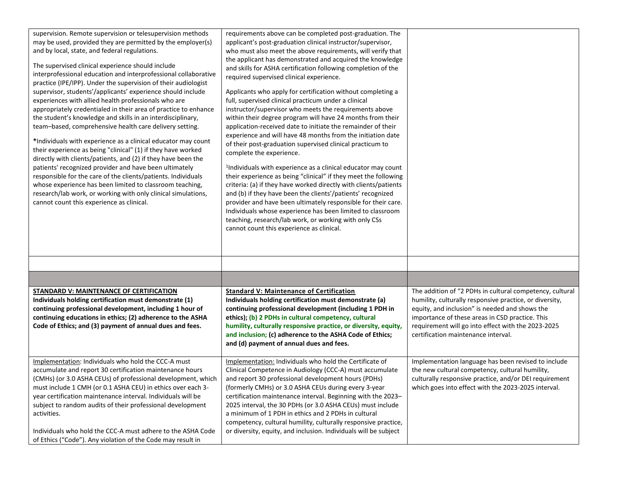| supervision. Remote supervision or telesupervision methods<br>may be used, provided they are permitted by the employer(s)<br>and by local, state, and federal regulations.<br>The supervised clinical experience should include<br>interprofessional education and interprofessional collaborative<br>practice (IPE/IPP). Under the supervision of their audiologist<br>supervisor, students'/applicants' experience should include<br>experiences with allied health professionals who are<br>appropriately credentialed in their area of practice to enhance<br>the student's knowledge and skills in an interdisciplinary,<br>team-based, comprehensive health care delivery setting.<br>*Individuals with experience as a clinical educator may count<br>their experience as being "clinical" (1) if they have worked<br>directly with clients/patients, and (2) if they have been the<br>patients' recognized provider and have been ultimately<br>responsible for the care of the clients/patients. Individuals<br>whose experience has been limited to classroom teaching,<br>research/lab work, or working with only clinical simulations,<br>cannot count this experience as clinical. | requirements above can be completed post-graduation. The<br>applicant's post-graduation clinical instructor/supervisor,<br>who must also meet the above requirements, will verify that<br>the applicant has demonstrated and acquired the knowledge<br>and skills for ASHA certification following completion of the<br>required supervised clinical experience.<br>Applicants who apply for certification without completing a<br>full, supervised clinical practicum under a clinical<br>instructor/supervisor who meets the requirements above<br>within their degree program will have 24 months from their<br>application-received date to initiate the remainder of their<br>experience and will have 48 months from the initiation date<br>of their post-graduation supervised clinical practicum to<br>complete the experience.<br><sup>1</sup> Individuals with experience as a clinical educator may count<br>their experience as being "clinical" if they meet the following<br>criteria: (a) if they have worked directly with clients/patients<br>and (b) if they have been the clients'/patients' recognized<br>provider and have been ultimately responsible for their care.<br>Individuals whose experience has been limited to classroom<br>teaching, research/lab work, or working with only CSs<br>cannot count this experience as clinical. |                                                                                                                                                                                                                                                                                                                       |
|-------------------------------------------------------------------------------------------------------------------------------------------------------------------------------------------------------------------------------------------------------------------------------------------------------------------------------------------------------------------------------------------------------------------------------------------------------------------------------------------------------------------------------------------------------------------------------------------------------------------------------------------------------------------------------------------------------------------------------------------------------------------------------------------------------------------------------------------------------------------------------------------------------------------------------------------------------------------------------------------------------------------------------------------------------------------------------------------------------------------------------------------------------------------------------------------------|-----------------------------------------------------------------------------------------------------------------------------------------------------------------------------------------------------------------------------------------------------------------------------------------------------------------------------------------------------------------------------------------------------------------------------------------------------------------------------------------------------------------------------------------------------------------------------------------------------------------------------------------------------------------------------------------------------------------------------------------------------------------------------------------------------------------------------------------------------------------------------------------------------------------------------------------------------------------------------------------------------------------------------------------------------------------------------------------------------------------------------------------------------------------------------------------------------------------------------------------------------------------------------------------------------------------------------------------------------------------|-----------------------------------------------------------------------------------------------------------------------------------------------------------------------------------------------------------------------------------------------------------------------------------------------------------------------|
|                                                                                                                                                                                                                                                                                                                                                                                                                                                                                                                                                                                                                                                                                                                                                                                                                                                                                                                                                                                                                                                                                                                                                                                                 |                                                                                                                                                                                                                                                                                                                                                                                                                                                                                                                                                                                                                                                                                                                                                                                                                                                                                                                                                                                                                                                                                                                                                                                                                                                                                                                                                                 |                                                                                                                                                                                                                                                                                                                       |
|                                                                                                                                                                                                                                                                                                                                                                                                                                                                                                                                                                                                                                                                                                                                                                                                                                                                                                                                                                                                                                                                                                                                                                                                 |                                                                                                                                                                                                                                                                                                                                                                                                                                                                                                                                                                                                                                                                                                                                                                                                                                                                                                                                                                                                                                                                                                                                                                                                                                                                                                                                                                 |                                                                                                                                                                                                                                                                                                                       |
|                                                                                                                                                                                                                                                                                                                                                                                                                                                                                                                                                                                                                                                                                                                                                                                                                                                                                                                                                                                                                                                                                                                                                                                                 |                                                                                                                                                                                                                                                                                                                                                                                                                                                                                                                                                                                                                                                                                                                                                                                                                                                                                                                                                                                                                                                                                                                                                                                                                                                                                                                                                                 |                                                                                                                                                                                                                                                                                                                       |
| <b>STANDARD V: MAINTENANCE OF CERTIFICATION</b><br>Individuals holding certification must demonstrate (1)<br>continuing professional development, including 1 hour of<br>continuing educations in ethics; (2) adherence to the ASHA<br>Code of Ethics; and (3) payment of annual dues and fees.                                                                                                                                                                                                                                                                                                                                                                                                                                                                                                                                                                                                                                                                                                                                                                                                                                                                                                 | <b>Standard V: Maintenance of Certification</b><br>Individuals holding certification must demonstrate (a)<br>continuing professional development (including 1 PDH in<br>ethics); (b) 2 PDHs in cultural competency, cultural<br>humility, culturally responsive practice, or diversity, equity,<br>and inclusion; (c) adherence to the ASHA Code of Ethics;<br>and (d) payment of annual dues and fees.                                                                                                                                                                                                                                                                                                                                                                                                                                                                                                                                                                                                                                                                                                                                                                                                                                                                                                                                                         | The addition of "2 PDHs in cultural competency, cultural<br>humility, culturally responsive practice, or diversity,<br>equity, and inclusion" is needed and shows the<br>importance of these areas in CSD practice. This<br>requirement will go into effect with the 2023-2025<br>certification maintenance interval. |
| Implementation: Individuals who hold the CCC-A must<br>accumulate and report 30 certification maintenance hours<br>(CMHs) (or 3.0 ASHA CEUs) of professional development, which<br>must include 1 CMH (or 0.1 ASHA CEU) in ethics over each 3-<br>year certification maintenance interval. Individuals will be<br>subject to random audits of their professional development<br>activities.<br>Individuals who hold the CCC-A must adhere to the ASHA Code<br>of Ethics ("Code"). Any violation of the Code may result in                                                                                                                                                                                                                                                                                                                                                                                                                                                                                                                                                                                                                                                                       | Implementation: Individuals who hold the Certificate of<br>Clinical Competence in Audiology (CCC-A) must accumulate<br>and report 30 professional development hours (PDHs)<br>(formerly CMHs) or 3.0 ASHA CEUs during every 3-year<br>certification maintenance interval. Beginning with the 2023-<br>2025 interval, the 30 PDHs (or 3.0 ASHA CEUs) must include<br>a minimum of 1 PDH in ethics and 2 PDHs in cultural<br>competency, cultural humility, culturally responsive practice,<br>or diversity, equity, and inclusion. Individuals will be subject                                                                                                                                                                                                                                                                                                                                                                                                                                                                                                                                                                                                                                                                                                                                                                                                   | Implementation language has been revised to include<br>the new cultural competency, cultural humility,<br>culturally responsive practice, and/or DEI requirement<br>which goes into effect with the 2023-2025 interval.                                                                                               |